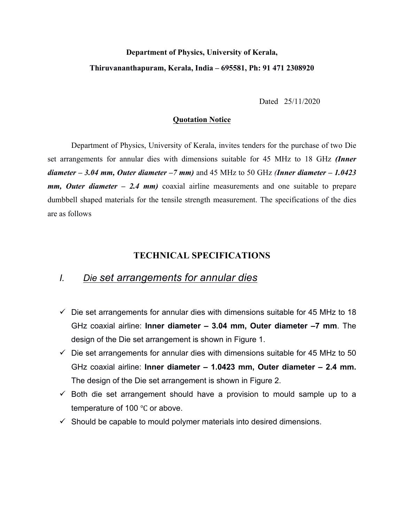## **Department of Physics, University of Kerala, Thiruvananthapuram, Kerala, India – 695581, Ph: 91 471 2308920**

Dated 25/11/2020

#### **Quotation Notice**

Department of Physics, University of Kerala, invites tenders for the purchase of two Die set arrangements for annular dies with dimensions suitable for 45 MHz to 18 GHz *(Inner diameter – 3.04 mm, Outer diameter –7 mm)* and 45 MHz to 50 GHz *(Inner diameter – 1.0423 mm, Outer diameter – 2.4 mm)* coaxial airline measurements and one suitable to prepare dumbbell shaped materials for the tensile strength measurement. The specifications of the dies are as follows

### **TECHNICAL SPECIFICATIONS**

# *I. Die set arrangements for annular dies*

- $\checkmark$  Die set arrangements for annular dies with dimensions suitable for 45 MHz to 18 GHz coaxial airline: **Inner diameter – 3.04 mm, Outer diameter –7 mm**. The design of the Die set arrangement is shown in Figure 1.
- $\checkmark$  Die set arrangements for annular dies with dimensions suitable for 45 MHz to 50 GHz coaxial airline: **Inner diameter – 1.0423 mm, Outer diameter – 2.4 mm.** The design of the Die set arrangement is shown in Figure 2.
- $\checkmark$  Both die set arrangement should have a provision to mould sample up to a temperature of 100 ℃ or above.
- $\checkmark$  Should be capable to mould polymer materials into desired dimensions.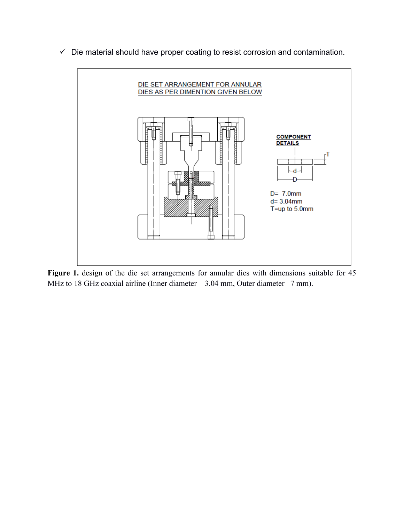

 $\checkmark$  Die material should have proper coating to resist corrosion and contamination.

Figure 1. design of the die set arrangements for annular dies with dimensions suitable for 45 MHz to 18 GHz coaxial airline (Inner diameter – 3.04 mm, Outer diameter –7 mm).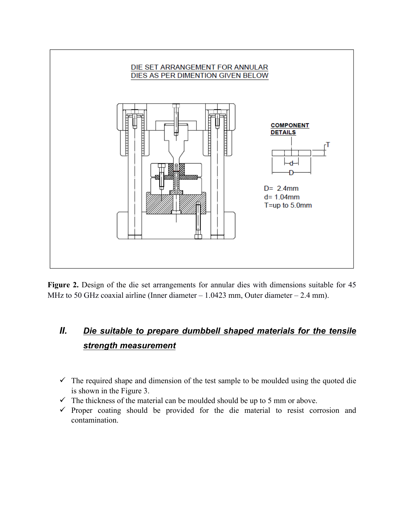

Figure 2. Design of the die set arrangements for annular dies with dimensions suitable for 45 MHz to 50 GHz coaxial airline (Inner diameter – 1.0423 mm, Outer diameter – 2.4 mm).

### *II. Die suitable to prepare dumbbell shaped materials for the tensile strength measurement*

- $\checkmark$  The required shape and dimension of the test sample to be moulded using the quoted die is shown in the Figure 3.
- $\checkmark$  The thickness of the material can be moulded should be up to 5 mm or above.
- $\checkmark$  Proper coating should be provided for the die material to resist corrosion and contamination.